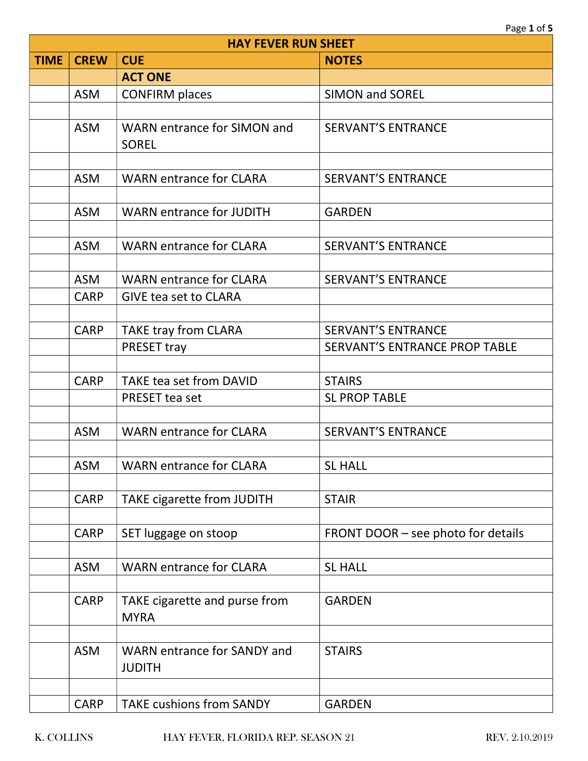|             | <b>HAY FEVER RUN SHEET</b> |                                                     |                                      |  |
|-------------|----------------------------|-----------------------------------------------------|--------------------------------------|--|
| <b>TIME</b> | <b>CREW</b>                | <b>CUE</b>                                          | <b>NOTES</b>                         |  |
|             |                            | <b>ACT ONE</b>                                      |                                      |  |
|             | <b>ASM</b>                 | <b>CONFIRM places</b>                               | <b>SIMON and SOREL</b>               |  |
|             |                            |                                                     |                                      |  |
|             | <b>ASM</b>                 | WARN entrance for SIMON and<br><b>SOREL</b>         | <b>SERVANT'S ENTRANCE</b>            |  |
|             | <b>ASM</b>                 | <b>WARN entrance for CLARA</b>                      | <b>SERVANT'S ENTRANCE</b>            |  |
|             | <b>ASM</b>                 | <b>WARN entrance for JUDITH</b>                     | <b>GARDEN</b>                        |  |
|             | <b>ASM</b>                 | <b>WARN entrance for CLARA</b>                      | <b>SERVANT'S ENTRANCE</b>            |  |
|             | <b>ASM</b>                 | <b>WARN entrance for CLARA</b>                      | <b>SERVANT'S ENTRANCE</b>            |  |
|             | <b>CARP</b>                | <b>GIVE tea set to CLARA</b>                        |                                      |  |
|             |                            |                                                     |                                      |  |
|             | <b>CARP</b>                | <b>TAKE tray from CLARA</b>                         | <b>SERVANT'S ENTRANCE</b>            |  |
|             |                            | PRESET tray                                         | <b>SERVANT'S ENTRANCE PROP TABLE</b> |  |
|             |                            |                                                     |                                      |  |
|             | <b>CARP</b>                | <b>TAKE tea set from DAVID</b>                      | <b>STAIRS</b>                        |  |
|             |                            | PRESET tea set                                      | <b>SL PROP TABLE</b>                 |  |
|             |                            |                                                     |                                      |  |
|             | <b>ASM</b>                 | <b>WARN entrance for CLARA</b>                      | <b>SERVANT'S ENTRANCE</b>            |  |
|             |                            |                                                     |                                      |  |
|             | <b>ASM</b>                 | <b>WARN entrance for CLARA</b>                      | <b>SL HALL</b>                       |  |
|             |                            |                                                     |                                      |  |
|             | <b>CARP</b>                | <b>TAKE cigarette from JUDITH</b>                   | <b>STAIR</b>                         |  |
|             |                            |                                                     |                                      |  |
|             | <b>CARP</b>                | SET luggage on stoop                                | FRONT DOOR – see photo for details   |  |
|             |                            |                                                     |                                      |  |
|             | <b>ASM</b>                 | <b>WARN entrance for CLARA</b>                      | <b>SL HALL</b>                       |  |
|             |                            |                                                     |                                      |  |
|             | <b>CARP</b>                | TAKE cigarette and purse from<br><b>MYRA</b>        | <b>GARDEN</b>                        |  |
|             |                            |                                                     |                                      |  |
|             | <b>ASM</b>                 | <b>WARN entrance for SANDY and</b><br><b>JUDITH</b> | <b>STAIRS</b>                        |  |
|             |                            |                                                     |                                      |  |
|             | <b>CARP</b>                | <b>TAKE cushions from SANDY</b>                     | <b>GARDEN</b>                        |  |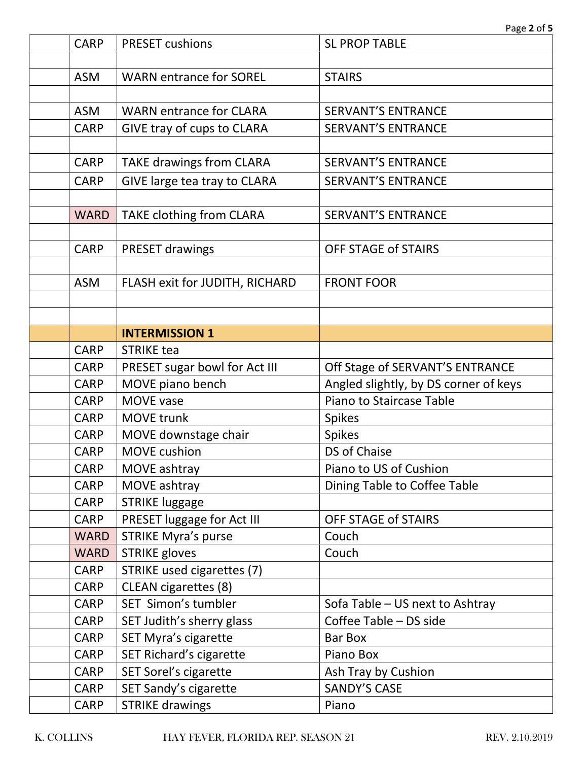| <b>CARP</b> | <b>PRESET cushions</b>            | <b>SL PROP TABLE</b>                  |
|-------------|-----------------------------------|---------------------------------------|
|             |                                   |                                       |
| <b>ASM</b>  | <b>WARN entrance for SOREL</b>    | <b>STAIRS</b>                         |
|             |                                   |                                       |
| <b>ASM</b>  | <b>WARN entrance for CLARA</b>    | <b>SERVANT'S ENTRANCE</b>             |
| <b>CARP</b> | <b>GIVE tray of cups to CLARA</b> | <b>SERVANT'S ENTRANCE</b>             |
|             |                                   |                                       |
| <b>CARP</b> | <b>TAKE drawings from CLARA</b>   | <b>SERVANT'S ENTRANCE</b>             |
| <b>CARP</b> | GIVE large tea tray to CLARA      | <b>SERVANT'S ENTRANCE</b>             |
|             |                                   |                                       |
| <b>WARD</b> | TAKE clothing from CLARA          | <b>SERVANT'S ENTRANCE</b>             |
|             |                                   |                                       |
| <b>CARP</b> | <b>PRESET drawings</b>            | <b>OFF STAGE of STAIRS</b>            |
|             |                                   |                                       |
| <b>ASM</b>  | FLASH exit for JUDITH, RICHARD    | <b>FRONT FOOR</b>                     |
|             |                                   |                                       |
|             |                                   |                                       |
|             | <b>INTERMISSION 1</b>             |                                       |
| <b>CARP</b> | <b>STRIKE tea</b>                 |                                       |
| <b>CARP</b> | PRESET sugar bowl for Act III     | Off Stage of SERVANT'S ENTRANCE       |
| <b>CARP</b> | MOVE piano bench                  | Angled slightly, by DS corner of keys |
| <b>CARP</b> | MOVE vase                         | Piano to Staircase Table              |
| <b>CARP</b> | <b>MOVE trunk</b>                 | <b>Spikes</b>                         |
| <b>CARP</b> | MOVE downstage chair              | <b>Spikes</b>                         |
| <b>CARP</b> | <b>MOVE</b> cushion               | DS of Chaise                          |
| CARP        | MOVE ashtray                      | Piano to US of Cushion                |
| <b>CARP</b> | MOVE ashtray                      | Dining Table to Coffee Table          |
| <b>CARP</b> | <b>STRIKE luggage</b>             |                                       |
| <b>CARP</b> | PRESET luggage for Act III        | <b>OFF STAGE of STAIRS</b>            |
| <b>WARD</b> | <b>STRIKE Myra's purse</b>        | Couch                                 |
| <b>WARD</b> | <b>STRIKE gloves</b>              | Couch                                 |
| <b>CARP</b> | STRIKE used cigarettes (7)        |                                       |
| <b>CARP</b> | <b>CLEAN</b> cigarettes (8)       |                                       |
| <b>CARP</b> | SET Simon's tumbler               | Sofa Table - US next to Ashtray       |
| <b>CARP</b> | SET Judith's sherry glass         | Coffee Table - DS side                |
| <b>CARP</b> | <b>SET Myra's cigarette</b>       | <b>Bar Box</b>                        |
| <b>CARP</b> | SET Richard's cigarette           | Piano Box                             |
| <b>CARP</b> | SET Sorel's cigarette             | Ash Tray by Cushion                   |
| <b>CARP</b> | SET Sandy's cigarette             | <b>SANDY'S CASE</b>                   |
| CARP        | <b>STRIKE drawings</b>            | Piano                                 |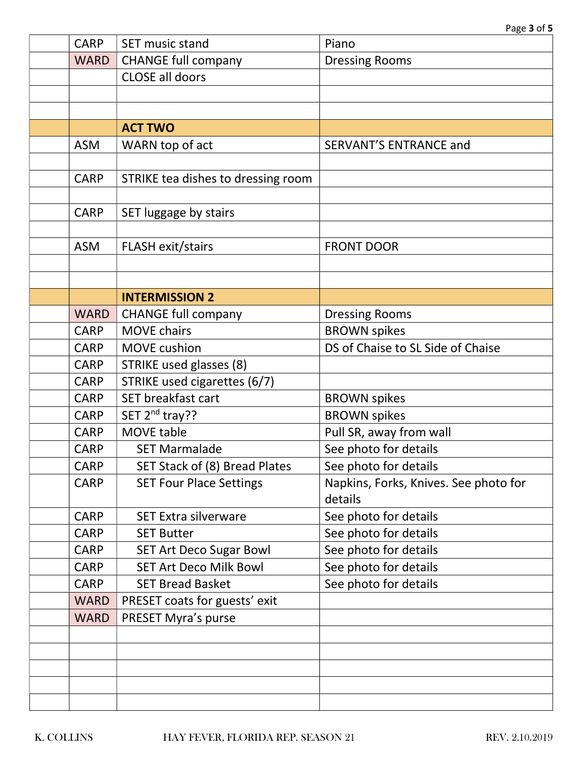| <b>CARP</b> | SET music stand                    | Piano                                 |
|-------------|------------------------------------|---------------------------------------|
| <b>WARD</b> | <b>CHANGE full company</b>         | <b>Dressing Rooms</b>                 |
|             | <b>CLOSE all doors</b>             |                                       |
|             |                                    |                                       |
|             |                                    |                                       |
|             | <b>ACT TWO</b>                     |                                       |
| <b>ASM</b>  | WARN top of act                    | <b>SERVANT'S ENTRANCE and</b>         |
|             |                                    |                                       |
| <b>CARP</b> | STRIKE tea dishes to dressing room |                                       |
|             |                                    |                                       |
| <b>CARP</b> | SET luggage by stairs              |                                       |
|             |                                    |                                       |
| <b>ASM</b>  | <b>FLASH exit/stairs</b>           | <b>FRONT DOOR</b>                     |
|             |                                    |                                       |
|             |                                    |                                       |
|             | <b>INTERMISSION 2</b>              |                                       |
| <b>WARD</b> | <b>CHANGE full company</b>         | <b>Dressing Rooms</b>                 |
| <b>CARP</b> | <b>MOVE chairs</b>                 | <b>BROWN spikes</b>                   |
| <b>CARP</b> | MOVE cushion                       | DS of Chaise to SL Side of Chaise     |
| <b>CARP</b> | STRIKE used glasses (8)            |                                       |
| <b>CARP</b> | STRIKE used cigarettes (6/7)       |                                       |
| <b>CARP</b> | SET breakfast cart                 | <b>BROWN spikes</b>                   |
| <b>CARP</b> | SET 2 <sup>nd</sup> tray??         | <b>BROWN spikes</b>                   |
| <b>CARP</b> | MOVE table                         | Pull SR, away from wall               |
| <b>CARP</b> | <b>SET Marmalade</b>               | See photo for details                 |
| CARP        | SET Stack of (8) Bread Plates      | See photo for details                 |
| <b>CARP</b> | <b>SET Four Place Settings</b>     | Napkins, Forks, Knives. See photo for |
|             |                                    | details                               |
| <b>CARP</b> | <b>SET Extra silverware</b>        | See photo for details                 |
| <b>CARP</b> | <b>SET Butter</b>                  | See photo for details                 |
| <b>CARP</b> | <b>SET Art Deco Sugar Bowl</b>     | See photo for details                 |
| <b>CARP</b> | <b>SET Art Deco Milk Bowl</b>      | See photo for details                 |
| <b>CARP</b> | <b>SET Bread Basket</b>            | See photo for details                 |
| <b>WARD</b> | PRESET coats for guests' exit      |                                       |
| <b>WARD</b> | PRESET Myra's purse                |                                       |
|             |                                    |                                       |
|             |                                    |                                       |
|             |                                    |                                       |
|             |                                    |                                       |
|             |                                    |                                       |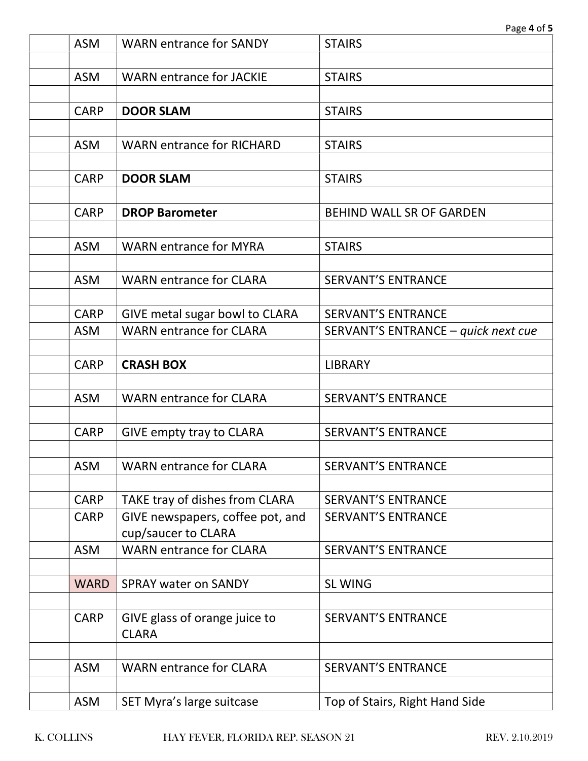| <b>ASM</b>  | <b>WARN entrance for SANDY</b>                        | <b>STAIRS</b>                       |
|-------------|-------------------------------------------------------|-------------------------------------|
|             |                                                       |                                     |
| <b>ASM</b>  | <b>WARN entrance for JACKIE</b>                       | <b>STAIRS</b>                       |
| <b>CARP</b> | <b>DOOR SLAM</b>                                      | <b>STAIRS</b>                       |
|             |                                                       |                                     |
| <b>ASM</b>  | <b>WARN entrance for RICHARD</b>                      | <b>STAIRS</b>                       |
|             |                                                       |                                     |
| <b>CARP</b> | <b>DOOR SLAM</b>                                      | <b>STAIRS</b>                       |
|             |                                                       |                                     |
| <b>CARP</b> | <b>DROP Barometer</b>                                 | <b>BEHIND WALL SR OF GARDEN</b>     |
| <b>ASM</b>  | <b>WARN entrance for MYRA</b>                         | <b>STAIRS</b>                       |
|             |                                                       |                                     |
| <b>ASM</b>  | <b>WARN entrance for CLARA</b>                        | <b>SERVANT'S ENTRANCE</b>           |
|             |                                                       |                                     |
| <b>CARP</b> | GIVE metal sugar bowl to CLARA                        | <b>SERVANT'S ENTRANCE</b>           |
| <b>ASM</b>  | <b>WARN entrance for CLARA</b>                        | SERVANT'S ENTRANCE - quick next cue |
|             |                                                       |                                     |
| <b>CARP</b> | <b>CRASH BOX</b>                                      | <b>LIBRARY</b>                      |
| <b>ASM</b>  | <b>WARN entrance for CLARA</b>                        | <b>SERVANT'S ENTRANCE</b>           |
|             |                                                       |                                     |
| <b>CARP</b> | <b>GIVE empty tray to CLARA</b>                       | <b>SERVANT'S ENTRANCE</b>           |
|             |                                                       |                                     |
| ASM         | <b>WARN entrance for CLARA</b>                        | <b>SERVANT'S ENTRANCE</b>           |
|             |                                                       |                                     |
| <b>CARP</b> | TAKE tray of dishes from CLARA                        | <b>SERVANT'S ENTRANCE</b>           |
| <b>CARP</b> | GIVE newspapers, coffee pot, and                      | <b>SERVANT'S ENTRANCE</b>           |
| <b>ASM</b>  | cup/saucer to CLARA<br><b>WARN entrance for CLARA</b> | <b>SERVANT'S ENTRANCE</b>           |
|             |                                                       |                                     |
| <b>WARD</b> | <b>SPRAY water on SANDY</b>                           | <b>SL WING</b>                      |
|             |                                                       |                                     |
| <b>CARP</b> | GIVE glass of orange juice to                         | <b>SERVANT'S ENTRANCE</b>           |
|             | <b>CLARA</b>                                          |                                     |
|             |                                                       |                                     |
| <b>ASM</b>  | <b>WARN entrance for CLARA</b>                        | <b>SERVANT'S ENTRANCE</b>           |
| <b>ASM</b>  | SET Myra's large suitcase                             | Top of Stairs, Right Hand Side      |